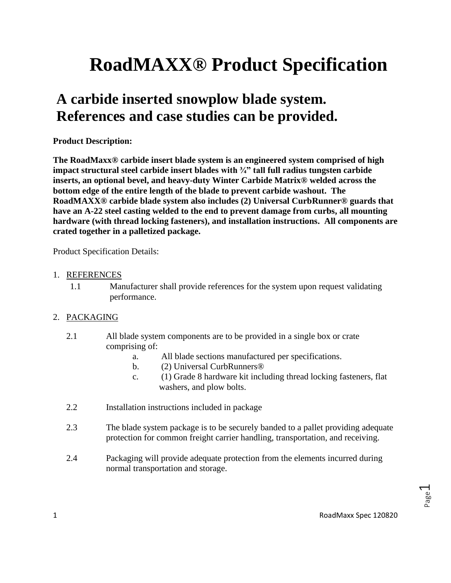# **RoadMAXX® Product Specification**

## **A carbide inserted snowplow blade system. References and case studies can be provided.**

#### **Product Description:**

**The RoadMaxx® carbide insert blade system is an engineered system comprised of high impact structural steel carbide insert blades with ¾" tall full radius tungsten carbide inserts, an optional bevel, and heavy-duty Winter Carbide Matrix® welded across the bottom edge of the entire length of the blade to prevent carbide washout. The RoadMAXX® carbide blade system also includes (2) Universal CurbRunner® guards that have an A-22 steel casting welded to the end to prevent damage from curbs, all mounting hardware (with thread locking fasteners), and installation instructions. All components are crated together in a palletized package.** 

Product Specification Details:

#### 1. REFERENCES

1.1 Manufacturer shall provide references for the system upon request validating performance.

#### 2. PACKAGING

- 2.1 All blade system components are to be provided in a single box or crate comprising of:
	- a. All blade sections manufactured per specifications.
	- b. (2) Universal CurbRunners®
	- c. (1) Grade 8 hardware kit including thread locking fasteners, flat washers, and plow bolts.
- 2.2 Installation instructions included in package
- 2.3 The blade system package is to be securely banded to a pallet providing adequate protection for common freight carrier handling, transportation, and receiving.
- 2.4 Packaging will provide adequate protection from the elements incurred during normal transportation and storage.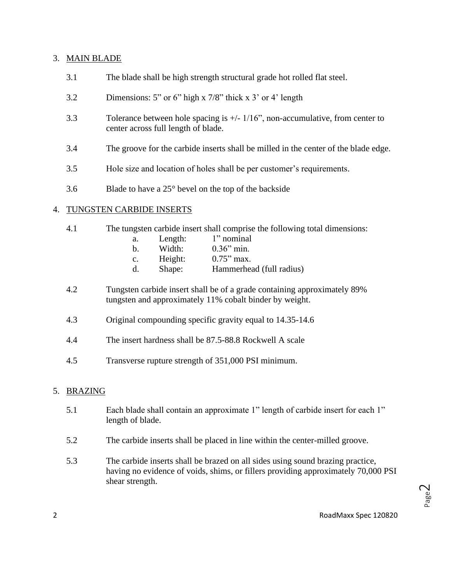#### 3. MAIN BLADE

- 3.1 The blade shall be high strength structural grade hot rolled flat steel.
- 3.2 Dimensions: 5" or 6" high x 7/8" thick x 3' or 4' length
- 3.3 Tolerance between hole spacing is +/- 1/16", non-accumulative, from center to center across full length of blade.
- 3.4 The groove for the carbide inserts shall be milled in the center of the blade edge.
- 3.5 Hole size and location of holes shall be per customer's requirements.
- 3.6 Blade to have a 25° bevel on the top of the backside

#### 4. TUNGSTEN CARBIDE INSERTS

- 4.1 The tungsten carbide insert shall comprise the following total dimensions:
	- a. Length: 1" nominal
	- b. Width: 0.36" min.
	- c. Height: 0.75" max.
	- d. Shape: Hammerhead (full radius)
- 4.2 Tungsten carbide insert shall be of a grade containing approximately 89% tungsten and approximately 11% cobalt binder by weight.
- 4.3 Original compounding specific gravity equal to 14.35-14.6
- 4.4 The insert hardness shall be 87.5-88.8 Rockwell A scale
- 4.5 Transverse rupture strength of 351,000 PSI minimum.

#### 5. BRAZING

- 5.1 Each blade shall contain an approximate 1" length of carbide insert for each 1" length of blade.
- 5.2 The carbide inserts shall be placed in line within the center-milled groove.
- 5.3 The carbide inserts shall be brazed on all sides using sound brazing practice, having no evidence of voids, shims, or fillers providing approximately 70,000 PSI shear strength.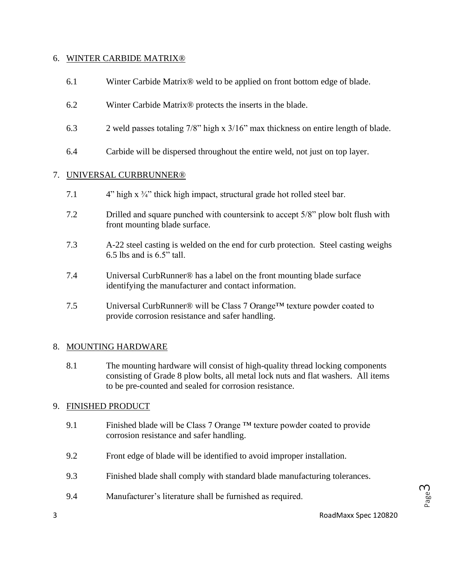#### 6. WINTER CARBIDE MATRIX®

- 6.1 Winter Carbide Matrix® weld to be applied on front bottom edge of blade.
- 6.2 Winter Carbide Matrix® protects the inserts in the blade.
- 6.3 2 weld passes totaling 7/8" high x 3/16" max thickness on entire length of blade.
- 6.4 Carbide will be dispersed throughout the entire weld, not just on top layer.

#### 7. UNIVERSAL CURBRUNNER®

- 7.1 4" high x ¾" thick high impact, structural grade hot rolled steel bar.
- 7.2 Drilled and square punched with countersink to accept 5/8" plow bolt flush with front mounting blade surface.
- 7.3 A-22 steel casting is welded on the end for curb protection. Steel casting weighs  $6.5$  lbs and is  $6.5$ " tall.
- 7.4 Universal CurbRunner® has a label on the front mounting blade surface identifying the manufacturer and contact information.
- 7.5 Universal CurbRunner<sup>®</sup> will be Class 7 Orange<sup>TM</sup> texture powder coated to provide corrosion resistance and safer handling.

#### 8. MOUNTING HARDWARE

8.1 The mounting hardware will consist of high-quality thread locking components consisting of Grade 8 plow bolts, all metal lock nuts and flat washers. All items to be pre-counted and sealed for corrosion resistance.

#### 9. FINISHED PRODUCT

- 9.1 Finished blade will be Class 7 Orange  $TM$  texture powder coated to provide corrosion resistance and safer handling.
- 9.2 Front edge of blade will be identified to avoid improper installation.
- 9.3 Finished blade shall comply with standard blade manufacturing tolerances.
- 9.4 Manufacturer's literature shall be furnished as required.